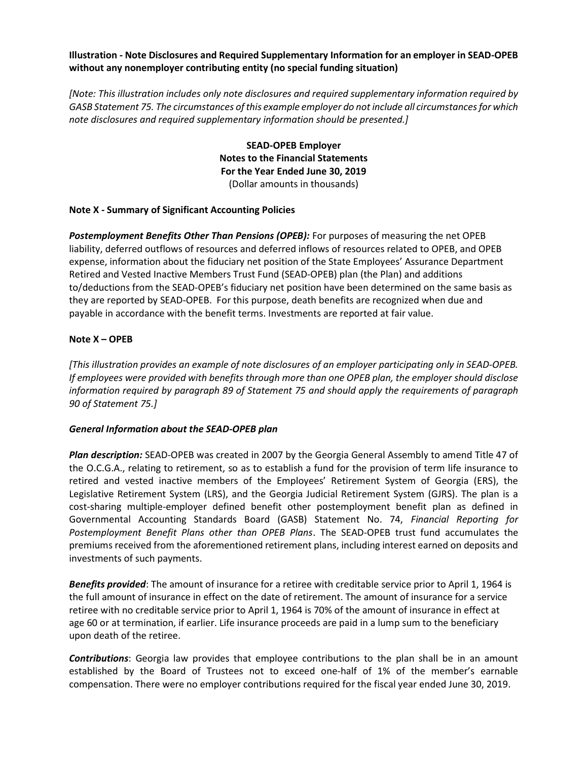Illustration - Note Disclosures and Required Supplementary Information for an employer in SEAD-OPEB without any nonemployer contributing entity (no special funding situation)

[Note: This illustration includes only note disclosures and required supplementary information required by GASB Statement 75. The circumstances of this example employer do not include all circumstances for which note disclosures and required supplementary information should be presented.]

> SEAD-OPEB Employer Notes to the Financial Statements For the Year Ended June 30, 2019 (Dollar amounts in thousands)

## Note X - Summary of Significant Accounting Policies

**Postemployment Benefits Other Than Pensions (OPEB):** For purposes of measuring the net OPEB liability, deferred outflows of resources and deferred inflows of resources related to OPEB, and OPEB expense, information about the fiduciary net position of the State Employees' Assurance Department Retired and Vested Inactive Members Trust Fund (SEAD-OPEB) plan (the Plan) and additions to/deductions from the SEAD-OPEB's fiduciary net position have been determined on the same basis as they are reported by SEAD-OPEB. For this purpose, death benefits are recognized when due and payable in accordance with the benefit terms. Investments are reported at fair value.

### Note X – OPEB

[This illustration provides an example of note disclosures of an employer participating only in SEAD-OPEB. If employees were provided with benefits through more than one OPEB plan, the employer should disclose information required by paragraph 89 of Statement 75 and should apply the requirements of paragraph 90 of Statement 75.]

#### General Information about the SEAD-OPEB plan

Plan description: SEAD-OPEB was created in 2007 by the Georgia General Assembly to amend Title 47 of the O.C.G.A., relating to retirement, so as to establish a fund for the provision of term life insurance to retired and vested inactive members of the Employees' Retirement System of Georgia (ERS), the Legislative Retirement System (LRS), and the Georgia Judicial Retirement System (GJRS). The plan is a cost-sharing multiple-employer defined benefit other postemployment benefit plan as defined in Governmental Accounting Standards Board (GASB) Statement No. 74, Financial Reporting for Postemployment Benefit Plans other than OPEB Plans. The SEAD-OPEB trust fund accumulates the premiums received from the aforementioned retirement plans, including interest earned on deposits and investments of such payments.

Benefits provided: The amount of insurance for a retiree with creditable service prior to April 1, 1964 is the full amount of insurance in effect on the date of retirement. The amount of insurance for a service retiree with no creditable service prior to April 1, 1964 is 70% of the amount of insurance in effect at age 60 or at termination, if earlier. Life insurance proceeds are paid in a lump sum to the beneficiary upon death of the retiree.

**Contributions:** Georgia law provides that employee contributions to the plan shall be in an amount established by the Board of Trustees not to exceed one-half of 1% of the member's earnable compensation. There were no employer contributions required for the fiscal year ended June 30, 2019.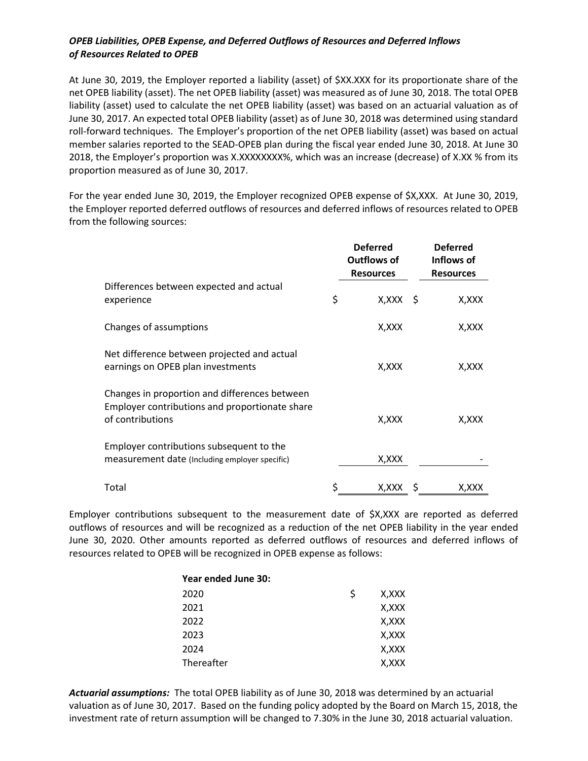## OPEB Liabilities, OPEB Expense, and Deferred Outflows of Resources and Deferred Inflows of Resources Related to OPEB

At June 30, 2019, the Employer reported a liability (asset) of \$XX.XXX for its proportionate share of the net OPEB liability (asset). The net OPEB liability (asset) was measured as of June 30, 2018. The total OPEB liability (asset) used to calculate the net OPEB liability (asset) was based on an actuarial valuation as of June 30, 2017. An expected total OPEB liability (asset) as of June 30, 2018 was determined using standard roll-forward techniques. The Employer's proportion of the net OPEB liability (asset) was based on actual member salaries reported to the SEAD-OPEB plan during the fiscal year ended June 30, 2018. At June 30 2018, the Employer's proportion was X.XXXXXXXX%, which was an increase (decrease) of X.XX % from its proportion measured as of June 30, 2017.

For the year ended June 30, 2019, the Employer recognized OPEB expense of \$X,XXX. At June 30, 2019, the Employer reported deferred outflows of resources and deferred inflows of resources related to OPEB from the following sources:

|                                                                                                                     | <b>Deferred</b><br><b>Outflows of</b><br><b>Resources</b> | <b>Deferred</b><br>Inflows of<br><b>Resources</b> |
|---------------------------------------------------------------------------------------------------------------------|-----------------------------------------------------------|---------------------------------------------------|
| Differences between expected and actual<br>experience                                                               | \$<br>$X, XXX \S$                                         | X,XXX                                             |
| Changes of assumptions                                                                                              | X,XXX                                                     | X,XXX                                             |
| Net difference between projected and actual<br>earnings on OPEB plan investments                                    | X,XXX                                                     | X, XXX                                            |
| Changes in proportion and differences between<br>Employer contributions and proportionate share<br>of contributions | X,XXX                                                     | X,XXX                                             |
| Employer contributions subsequent to the<br>measurement date (Including employer specific)                          | X, XXX                                                    |                                                   |
| Total                                                                                                               | X,XXX                                                     | X,XXX                                             |

Employer contributions subsequent to the measurement date of \$X,XXX are reported as deferred outflows of resources and will be recognized as a reduction of the net OPEB liability in the year ended June 30, 2020. Other amounts reported as deferred outflows of resources and deferred inflows of resources related to OPEB will be recognized in OPEB expense as follows:

| Year ended June 30: |   |       |
|---------------------|---|-------|
| 2020                | Ś | X,XXX |
| 2021                |   | X,XXX |
| 2022                |   | X,XXX |
| 2023                |   | X,XXX |
| 2024                |   | X,XXX |
| Thereafter          |   | X,XXX |

Actuarial assumptions: The total OPEB liability as of June 30, 2018 was determined by an actuarial valuation as of June 30, 2017. Based on the funding policy adopted by the Board on March 15, 2018, the investment rate of return assumption will be changed to 7.30% in the June 30, 2018 actuarial valuation.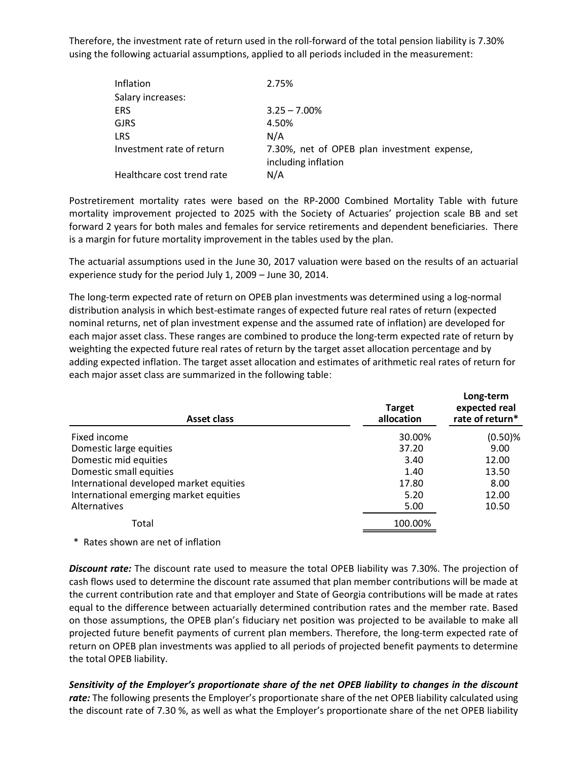Therefore, the investment rate of return used in the roll-forward of the total pension liability is 7.30% using the following actuarial assumptions, applied to all periods included in the measurement:

| Inflation                  | 2.75%                                       |
|----------------------------|---------------------------------------------|
| Salary increases:          |                                             |
| <b>ERS</b>                 | $3.25 - 7.00\%$                             |
| <b>GJRS</b>                | 4.50%                                       |
| <b>LRS</b>                 | N/A                                         |
| Investment rate of return  | 7.30%, net of OPEB plan investment expense, |
|                            | including inflation                         |
| Healthcare cost trend rate | N/A                                         |

| Postretirement mortality rates were based on the RP-2000 Combined Mortality Table with future<br>mortality improvement projected to 2025 with the Society of Actuaries' projection scale BB and set<br>forward 2 years for both males and females for service retirements and dependent beneficiaries. There<br>is a margin for future mortality improvement in the tables used by the plan.                                                                                                                                                                                                                                                                                                                      |                             |                                               |
|-------------------------------------------------------------------------------------------------------------------------------------------------------------------------------------------------------------------------------------------------------------------------------------------------------------------------------------------------------------------------------------------------------------------------------------------------------------------------------------------------------------------------------------------------------------------------------------------------------------------------------------------------------------------------------------------------------------------|-----------------------------|-----------------------------------------------|
| The actuarial assumptions used in the June 30, 2017 valuation were based on the results of an actuarial<br>experience study for the period July 1, 2009 - June 30, 2014.                                                                                                                                                                                                                                                                                                                                                                                                                                                                                                                                          |                             |                                               |
| The long-term expected rate of return on OPEB plan investments was determined using a log-normal<br>distribution analysis in which best-estimate ranges of expected future real rates of return (expected<br>nominal returns, net of plan investment expense and the assumed rate of inflation) are developed for<br>each major asset class. These ranges are combined to produce the long-term expected rate of return by<br>weighting the expected future real rates of return by the target asset allocation percentage and by<br>adding expected inflation. The target asset allocation and estimates of arithmetic real rates of return for<br>each major asset class are summarized in the following table: |                             |                                               |
| <b>Asset class</b>                                                                                                                                                                                                                                                                                                                                                                                                                                                                                                                                                                                                                                                                                                | <b>Target</b><br>allocation | Long-term<br>expected real<br>rate of return* |
| Fixed income                                                                                                                                                                                                                                                                                                                                                                                                                                                                                                                                                                                                                                                                                                      | 30.00%                      | $(0.50)$ %                                    |
| Domestic large equities                                                                                                                                                                                                                                                                                                                                                                                                                                                                                                                                                                                                                                                                                           | 37.20                       | 9.00                                          |
| Domestic mid equities                                                                                                                                                                                                                                                                                                                                                                                                                                                                                                                                                                                                                                                                                             | 3.40                        | 12.00                                         |
| Domestic small equities                                                                                                                                                                                                                                                                                                                                                                                                                                                                                                                                                                                                                                                                                           | 1.40                        | 13.50                                         |
| International developed market equities                                                                                                                                                                                                                                                                                                                                                                                                                                                                                                                                                                                                                                                                           | 17.80                       | 8.00                                          |
| International emerging market equities                                                                                                                                                                                                                                                                                                                                                                                                                                                                                                                                                                                                                                                                            | 5.20                        | 12.00                                         |
| Alternatives                                                                                                                                                                                                                                                                                                                                                                                                                                                                                                                                                                                                                                                                                                      | 5.00                        | 10.50                                         |
|                                                                                                                                                                                                                                                                                                                                                                                                                                                                                                                                                                                                                                                                                                                   |                             |                                               |
| Total                                                                                                                                                                                                                                                                                                                                                                                                                                                                                                                                                                                                                                                                                                             | 100.00%                     |                                               |
| * Rates shown are net of inflation                                                                                                                                                                                                                                                                                                                                                                                                                                                                                                                                                                                                                                                                                |                             |                                               |

Discount rate: The discount rate used to measure the total OPEB liability was 7.30%. The projection of cash flows used to determine the discount rate assumed that plan member contributions will be made at the current contribution rate and that employer and State of Georgia contributions will be made at rates equal to the difference between actuarially determined contribution rates and the member rate. Based on those assumptions, the OPEB plan's fiduciary net position was projected to be available to make all projected future benefit payments of current plan members. Therefore, the long-term expected rate of return on OPEB plan investments was applied to all periods of projected benefit payments to determine the total OPEB liability.

Sensitivity of the Employer's proportionate share of the net OPEB liability to changes in the discount rate: The following presents the Employer's proportionate share of the net OPEB liability calculated using the discount rate of 7.30 %, as well as what the Employer's proportionate share of the net OPEB liability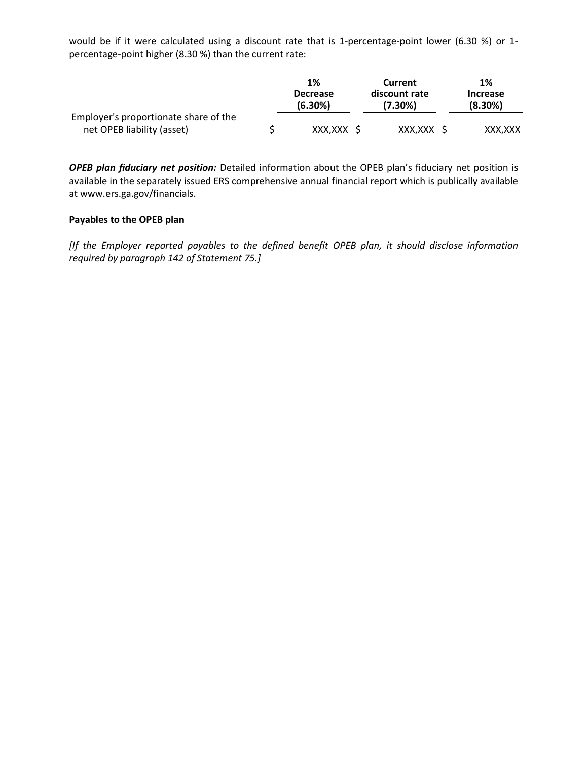would be if it were calculated using a discount rate that is 1-percentage-point lower (6.30 %) or 1 percentage-point higher (8.30 %) than the current rate:

|                                       | 1%                         | Current                  | 1%                            |
|---------------------------------------|----------------------------|--------------------------|-------------------------------|
|                                       | <b>Decrease</b><br>(6.30%) | discount rate<br>'7.30%) | <b>Increase</b><br>$(8.30\%)$ |
| Employer's proportionate share of the |                            |                          |                               |
| net OPEB liability (asset)            | XXX, XXX                   | XXX, XXX                 | XXX,XXX                       |

OPEB plan fiduciary net position: Detailed information about the OPEB plan's fiduciary net position is available in the separately issued ERS comprehensive annual financial report which is publically available at www.ers.ga.gov/financials.

## Payables to the OPEB plan

[If the Employer reported payables to the defined benefit OPEB plan, it should disclose information required by paragraph 142 of Statement 75.]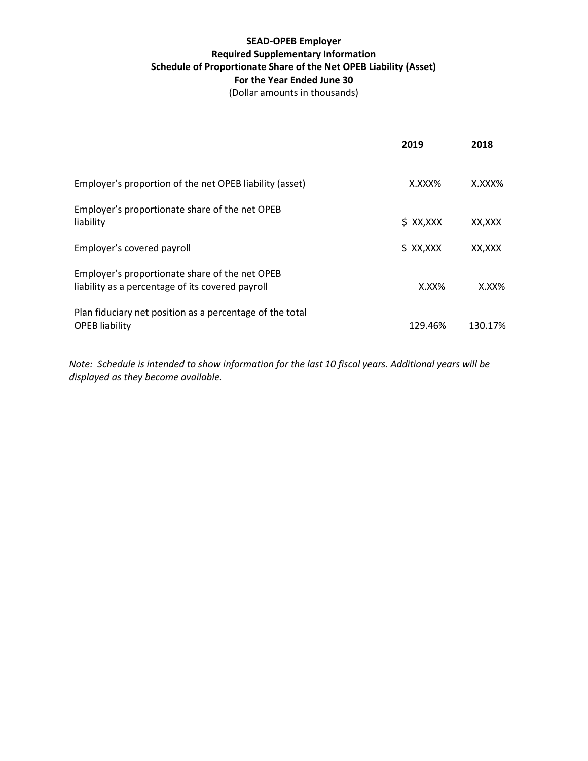## SEAD-OPEB Employer Required Supplementary Information Schedule of Proportionate Share of the Net OPEB Liability (Asset) For the Year Ended June 30

(Dollar amounts in thousands)

|                                                                                                    | 2019                | 2018     |
|----------------------------------------------------------------------------------------------------|---------------------|----------|
| Employer's proportion of the net OPEB liability (asset)                                            | $X$ . $XX$ $X$ $\%$ | X.XXX%   |
| Employer's proportionate share of the net OPEB<br>liability                                        | $$$ XX, XXX         | XX,XXX   |
| Employer's covered payroll                                                                         | S XX, XXX           | XX,XXX   |
| Employer's proportionate share of the net OPEB<br>liability as a percentage of its covered payroll | $X.XX\%$            | $X.XX\%$ |
| Plan fiduciary net position as a percentage of the total<br><b>OPEB</b> liability                  | 129.46%             | 130.17%  |

Note: Schedule is intended to show information for the last 10 fiscal years. Additional years will be displayed as they become available.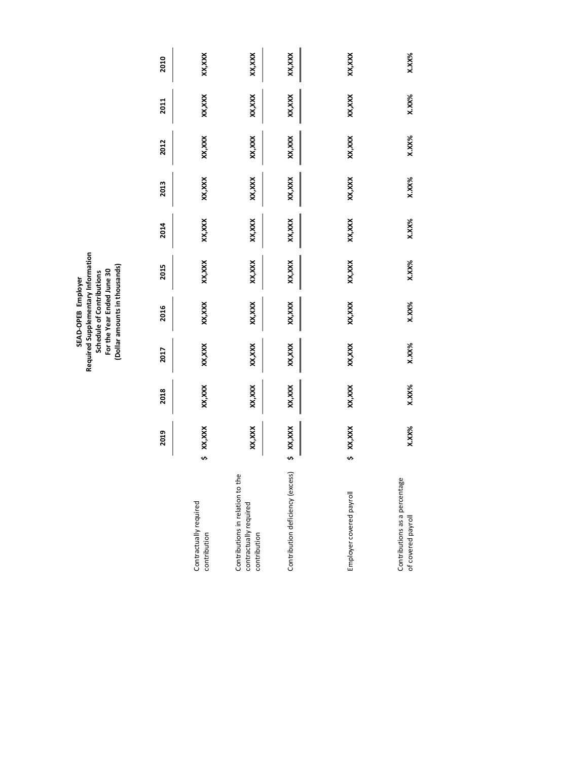|                                                                            |    |           |          |          | Required Supplementary Information<br>(Dollar amounts in thousands)<br>For the Year Ended June 30<br>Schedule of Contributions<br>SEAD-OPEB Employer |        |        |        |          |          |        |
|----------------------------------------------------------------------------|----|-----------|----------|----------|------------------------------------------------------------------------------------------------------------------------------------------------------|--------|--------|--------|----------|----------|--------|
|                                                                            |    | 2019      | 2018     | 2017     | 2016                                                                                                                                                 | 2015   | 2014   | 2013   | 2012     | 2011     | 2010   |
| Contractually required<br>contribution                                     |    | \$ XX,XXX | XX,XXX   | XX,XXX   | XX, XXX                                                                                                                                              | XX,XXX | XX,XXX | XX,XXX | XX,XXX   | XX, XXX  | XX,XXX |
| Contributions in relation to the<br>contractually required<br>contribution |    | XX,XXX    | XX,XXX   | XX,XXX   | XX, XXX                                                                                                                                              | XX,XXX | XX,XXX | XX,XXX | XX,XXX   | XX, XXX  | XX,XXX |
| Contribution deficiency (excess)                                           | s, | XX,XXX    | XX,XXX   | XX,XXX   | XX, XXX                                                                                                                                              | XX,XXX | XX,XXX | XX,XXX | XX,XXX   | XX, XXX  | XX,XXX |
| Employer covered payroll                                                   |    | \$ XX,XXX | XX,XXX   | XX,XXX   | XX,XXX                                                                                                                                               | XX,XXX | XX,XXX | XX,XXX | XX,XXX   | XX,XXX   | XX,XXX |
| Contributions as a percentage<br>of covered payroll                        |    | $X.XX\%$  | $X.XX\%$ | $X.XX\%$ | $X.XX\%$                                                                                                                                             | X.XX%  | X.XX%  | X.XX%  | $X.XX\%$ | $X.XX\%$ | X.XX%  |
|                                                                            |    |           |          |          |                                                                                                                                                      |        |        |        |          |          |        |